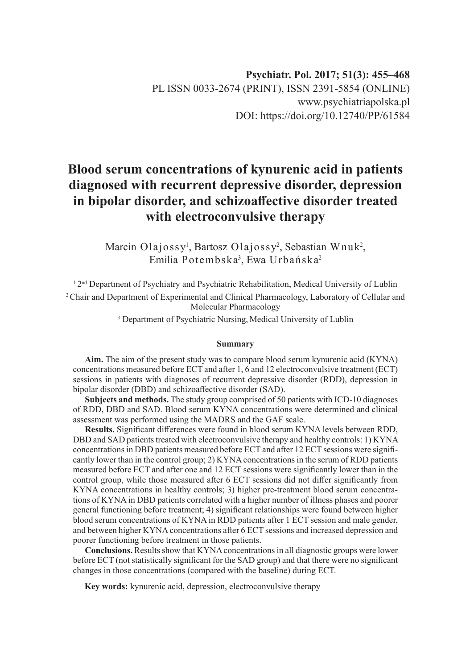# **Blood serum concentrations of kynurenic acid in patients diagnosed with recurrent depressive disorder, depression in bipolar disorder, and schizoaffective disorder treated with electroconvulsive therapy**

Marcin Olajossy<sup>1</sup>, Bartosz Olajossy<sup>2</sup>, Sebastian Wnuk<sup>2</sup>, Emilia Potembska<sup>3</sup>, Ewa Urbańska<sup>2</sup>

<sup>1</sup> 2<sup>nd</sup> Department of Psychiatry and Psychiatric Rehabilitation, Medical University of Lublin 2 Chair and Department of Experimental and Clinical Pharmacology, Laboratory of Cellular and Molecular Pharmacology

<sup>3</sup> Department of Psychiatric Nursing, Medical University of Lublin

#### **Summary**

**Aim.** The aim of the present study was to compare blood serum kynurenic acid (KYNA) concentrations measured before ECT and after 1, 6 and 12 electroconvulsive treatment (ECT) sessions in patients with diagnoses of recurrent depressive disorder (RDD), depression in bipolar disorder (DBD) and schizoaffective disorder (SAD).

**Subjects and methods.** The study group comprised of 50 patients with ICD-10 diagnoses of RDD, DBD and SAD. Blood serum KYNA concentrations were determined and clinical assessment was performed using the MADRS and the GAF scale.

**Results.** Significant differences were found in blood serum KYNA levels between RDD, DBD and SAD patients treated with electroconvulsive therapy and healthy controls: 1) KYNA concentrations in DBD patients measured before ECT and after 12 ECT sessions were significantly lower than in the control group; 2) KYNA concentrations in the serum of RDD patients measured before ECT and after one and 12 ECT sessions were significantly lower than in the control group, while those measured after 6 ECT sessions did not differ significantly from KYNA concentrations in healthy controls; 3) higher pre-treatment blood serum concentrations of KYNA in DBD patients correlated with a higher number of illness phases and poorer general functioning before treatment; 4) significant relationships were found between higher blood serum concentrations of KYNA in RDD patients after 1 ECT session and male gender, and between higher KYNA concentrations after 6 ECT sessions and increased depression and poorer functioning before treatment in those patients.

**Conclusions.** Results show that KYNA concentrations in all diagnostic groups were lower before ECT (not statistically significant for the SAD group) and that there were no significant changes in those concentrations (compared with the baseline) during ECT.

**Key words:** kynurenic acid, depression, electroconvulsive therapy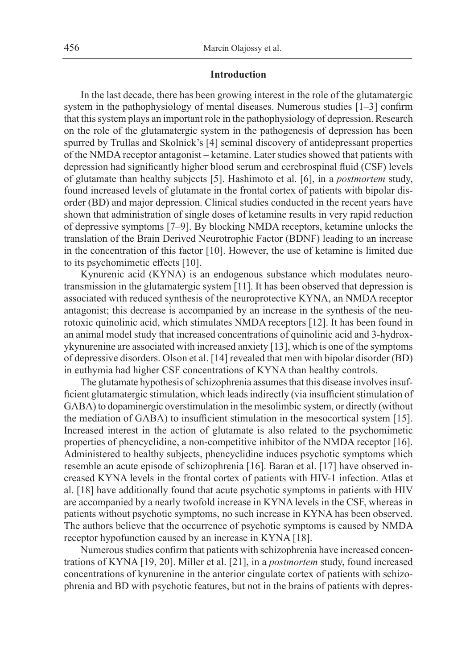## **Introduction**

In the last decade, there has been growing interest in the role of the glutamatergic system in the pathophysiology of mental diseases. Numerous studies [1–3] confirm that this system plays an important role in the pathophysiology of depression. Research on the role of the glutamatergic system in the pathogenesis of depression has been spurred by Trullas and Skolnick's [4] seminal discovery of antidepressant properties of the NMDA receptor antagonist – ketamine. Later studies showed that patients with depression had significantly higher blood serum and cerebrospinal fluid (CSF) levels of glutamate than healthy subjects [5]. Hashimoto et al. [6], in a *postmortem* study, found increased levels of glutamate in the frontal cortex of patients with bipolar disorder (BD) and major depression. Clinical studies conducted in the recent years have shown that administration of single doses of ketamine results in very rapid reduction of depressive symptoms [7–9]. By blocking NMDA receptors, ketamine unlocks the translation of the Brain Derived Neurotrophic Factor (BDNF) leading to an increase in the concentration of this factor [10]. However, the use of ketamine is limited due to its psychomimetic effects [10].

Kynurenic acid (KYNA) is an endogenous substance which modulates neurotransmission in the glutamatergic system [11]. It has been observed that depression is associated with reduced synthesis of the neuroprotective KYNA, an NMDA receptor antagonist; this decrease is accompanied by an increase in the synthesis of the neurotoxic quinolinic acid, which stimulates NMDA receptors [12]. It has been found in an animal model study that increased concentrations of quinolinic acid and 3-hydroxykynurenine are associated with increased anxiety [13], which is one of the symptoms of depressive disorders. Olson et al. [14] revealed that men with bipolar disorder (BD) in euthymia had higher CSF concentrations of KYNA than healthy controls.

The glutamate hypothesis of schizophrenia assumes that this disease involves insufficient glutamatergic stimulation, which leads indirectly (via insufficient stimulation of GABA) to dopaminergic overstimulation in the mesolimbic system, or directly (without the mediation of GABA) to insufficient stimulation in the mesocortical system [15]. Increased interest in the action of glutamate is also related to the psychomimetic properties of phencyclidine, a non-competitive inhibitor of the NMDA receptor [16]. Administered to healthy subjects, phencyclidine induces psychotic symptoms which resemble an acute episode of schizophrenia [16]. Baran et al. [17] have observed increased KYNA levels in the frontal cortex of patients with HIV-1 infection. Atlas et al. [18] have additionally found that acute psychotic symptoms in patients with HIV are accompanied by a nearly twofold increase in KYNA levels in the CSF, whereas in patients without psychotic symptoms, no such increase in KYNA has been observed. The authors believe that the occurrence of psychotic symptoms is caused by NMDA receptor hypofunction caused by an increase in KYNA [18].

Numerous studies confirm that patients with schizophrenia have increased concentrations of KYNA [19, 20]. Miller et al. [21], in a *postmortem* study, found increased concentrations of kynurenine in the anterior cingulate cortex of patients with schizophrenia and BD with psychotic features, but not in the brains of patients with depres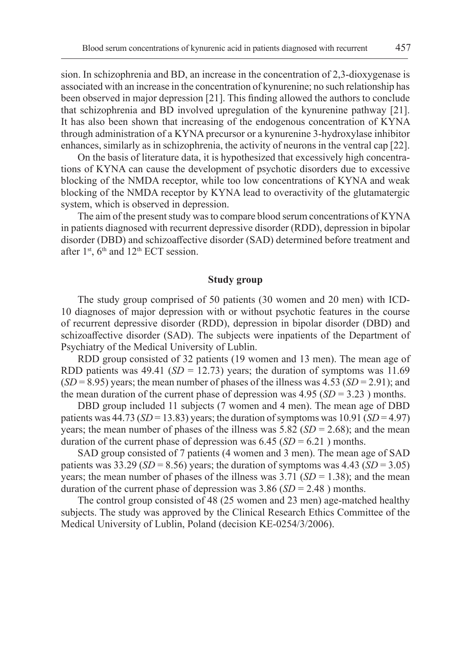sion. In schizophrenia and BD, an increase in the concentration of 2,3-dioxygenase is associated with an increase in the concentration of kynurenine; no such relationship has been observed in major depression [21]. This finding allowed the authors to conclude that schizophrenia and BD involved upregulation of the kynurenine pathway [21]. It has also been shown that increasing of the endogenous concentration of KYNA through administration of a KYNA precursor or a kynurenine 3-hydroxylase inhibitor enhances, similarly as in schizophrenia, the activity of neurons in the ventral cap [22].

On the basis of literature data, it is hypothesized that excessively high concentrations of KYNA can cause the development of psychotic disorders due to excessive blocking of the NMDA receptor, while too low concentrations of KYNA and weak blocking of the NMDA receptor by KYNA lead to overactivity of the glutamatergic system, which is observed in depression.

The aim of the present study was to compare blood serum concentrations of KYNA in patients diagnosed with recurrent depressive disorder (RDD), depression in bipolar disorder (DBD) and schizoaffective disorder (SAD) determined before treatment and after  $1<sup>st</sup>$ ,  $6<sup>th</sup>$  and  $12<sup>th</sup>$  ECT session.

#### **Study group**

The study group comprised of 50 patients (30 women and 20 men) with ICD-10 diagnoses of major depression with or without psychotic features in the course of recurrent depressive disorder (RDD), depression in bipolar disorder (DBD) and schizoaffective disorder (SAD). The subjects were inpatients of the Department of Psychiatry of the Medical University of Lublin.

RDD group consisted of 32 patients (19 women and 13 men). The mean age of RDD patients was  $49.41$  (*SD* = 12.73) years; the duration of symptoms was 11.69 (*SD* = 8.95) years; the mean number of phases of the illness was 4.53 (*SD* = 2.91); and the mean duration of the current phase of depression was 4.95 (*SD* = 3.23 ) months.

DBD group included 11 subjects (7 women and 4 men). The mean age of DBD patients was  $44.73$  (*SD* = 13.83) years; the duration of symptoms was  $10.91$  (*SD* = 4.97) years; the mean number of phases of the illness was  $5.82$  (*SD* = 2.68); and the mean duration of the current phase of depression was  $6.45$  (*SD* =  $6.21$ ) months.

SAD group consisted of 7 patients (4 women and 3 men). The mean age of SAD patients was  $33.29$  (*SD* = 8.56) years; the duration of symptoms was  $4.43$  (*SD* = 3.05) years; the mean number of phases of the illness was  $3.71$  (*SD* = 1.38); and the mean duration of the current phase of depression was 3.86 (*SD* = 2.48 ) months.

The control group consisted of 48 (25 women and 23 men) age-matched healthy subjects. The study was approved by the Clinical Research Ethics Committee of the Medical University of Lublin, Poland (decision KE-0254/3/2006).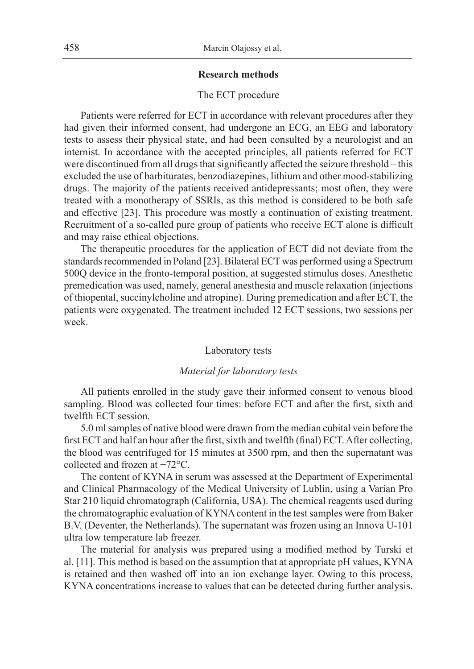## **Research methods**

## The ECT procedure

Patients were referred for ECT in accordance with relevant procedures after they had given their informed consent, had undergone an ECG, an EEG and laboratory tests to assess their physical state, and had been consulted by a neurologist and an internist. In accordance with the accepted principles, all patients referred for ECT were discontinued from all drugs that significantly affected the seizure threshold – this excluded the use of barbiturates, benzodiazepines, lithium and other mood-stabilizing drugs. The majority of the patients received antidepressants; most often, they were treated with a monotherapy of SSRIs, as this method is considered to be both safe and effective [23]. This procedure was mostly a continuation of existing treatment. Recruitment of a so-called pure group of patients who receive ECT alone is difficult and may raise ethical objections.

The therapeutic procedures for the application of ECT did not deviate from the standards recommended in Poland [23]. Bilateral ECT was performed using a Spectrum 500Q device in the fronto-temporal position, at suggested stimulus doses. Anesthetic premedication was used, namely, general anesthesia and muscle relaxation (injections of thiopental, succinylcholine and atropine). During premedication and after ECT, the patients were oxygenated. The treatment included 12 ECT sessions, two sessions per week.

#### Laboratory tests

## *Material for laboratory tests*

All patients enrolled in the study gave their informed consent to venous blood sampling. Blood was collected four times: before ECT and after the first, sixth and twelfth ECT session.

5.0 ml samples of native blood were drawn from the median cubital vein before the first ECT and half an hour after the first, sixth and twelfth (final) ECT. After collecting, the blood was centrifuged for 15 minutes at 3500 rpm, and then the supernatant was collected and frozen at −72°C.

The content of KYNA in serum was assessed at the Department of Experimental and Clinical Pharmacology of the Medical University of Lublin, using a Varian Pro Star 210 liquid chromatograph (California, USA). The chemical reagents used during the chromatographic evaluation of KYNA content in the test samples were from Baker B.V. (Deventer, the Netherlands). The supernatant was frozen using an Innova U-101 ultra low temperature lab freezer.

The material for analysis was prepared using a modified method by Turski et al. [11]. This method is based on the assumption that at appropriate pH values, KYNA is retained and then washed off into an ion exchange layer. Owing to this process, KYNA concentrations increase to values that can be detected during further analysis.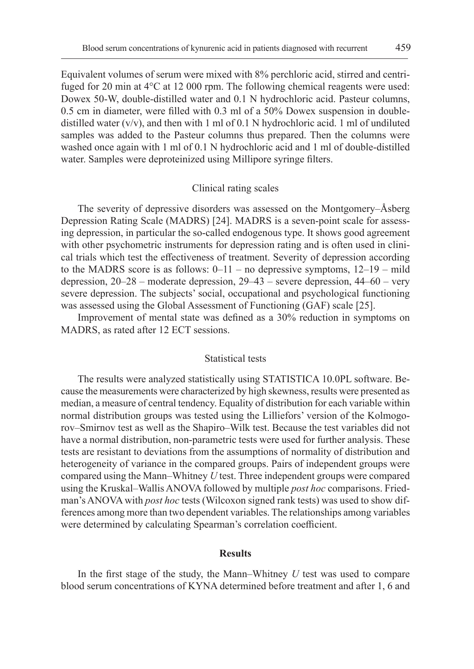Equivalent volumes of serum were mixed with 8% perchloric acid, stirred and centrifuged for 20 min at 4°C at 12 000 rpm. The following chemical reagents were used: Dowex 50-W, double-distilled water and 0.1 N hydrochloric acid. Pasteur columns, 0.5 cm in diameter, were filled with 0.3 ml of a 50% Dowex suspension in doubledistilled water  $(v/v)$ , and then with 1 ml of 0.1 N hydrochloric acid. 1 ml of undiluted samples was added to the Pasteur columns thus prepared. Then the columns were washed once again with 1 ml of 0.1 N hydrochloric acid and 1 ml of double-distilled water. Samples were deproteinized using Millipore syringe filters.

## Clinical rating scales

The severity of depressive disorders was assessed on the Montgomery–Åsberg Depression Rating Scale (MADRS) [24]. MADRS is a seven-point scale for assessing depression, in particular the so-called endogenous type. It shows good agreement with other psychometric instruments for depression rating and is often used in clinical trials which test the effectiveness of treatment. Severity of depression according to the MADRS score is as follows:  $0-11$  – no depressive symptoms,  $12-19$  – mild depression, 20–28 – moderate depression, 29–43 – severe depression, 44–60 – very severe depression. The subjects' social, occupational and psychological functioning was assessed using the Global Assessment of Functioning (GAF) scale [25].

Improvement of mental state was defined as a 30% reduction in symptoms on MADRS, as rated after 12 ECT sessions.

### Statistical tests

The results were analyzed statistically using STATISTICA 10.0PL software. Because the measurements were characterized by high skewness, results were presented as median, a measure of central tendency. Equality of distribution for each variable within normal distribution groups was tested using the Lilliefors' version of the Kolmogorov–Smirnov test as well as the Shapiro–Wilk test. Because the test variables did not have a normal distribution, non-parametric tests were used for further analysis. These tests are resistant to deviations from the assumptions of normality of distribution and heterogeneity of variance in the compared groups. Pairs of independent groups were compared using the Mann–Whitney *U* test. Three independent groups were compared using the Kruskal–Wallis ANOVA followed by multiple *post hoc* comparisons. Friedman's ANOVA with *post hoc* tests (Wilcoxon signed rank tests) was used to show differences among more than two dependent variables. The relationships among variables were determined by calculating Spearman's correlation coefficient.

#### **Results**

In the first stage of the study, the Mann–Whitney *U* test was used to compare blood serum concentrations of KYNA determined before treatment and after 1, 6 and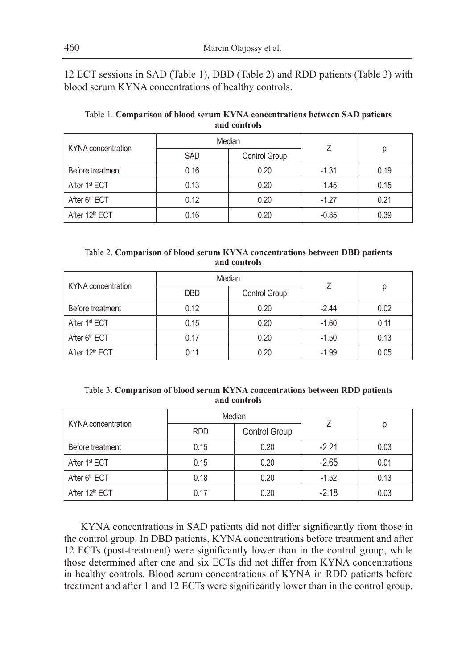12 ECT sessions in SAD (Table 1), DBD (Table 2) and RDD patients (Table 3) with blood serum KYNA concentrations of healthy controls.

| KYNA concentration         | Median     |               |         |      |
|----------------------------|------------|---------------|---------|------|
|                            | <b>SAD</b> | Control Group |         |      |
| Before treatment           | 0.16       | 0.20          | $-1.31$ | 0.19 |
| After 1 <sup>st</sup> ECT  | 0.13       | 0.20          | $-1.45$ | 0.15 |
| After 6 <sup>th</sup> ECT  | 0.12       | 0.20          | $-1.27$ | 0.21 |
| After 12 <sup>th</sup> ECT | 0.16       | 0.20          | $-0.85$ | 0.39 |

# Table 1. **Comparison of blood serum KYNA concentrations between SAD patients and controls**

| Table 2. Comparison of blood serum KYNA concentrations between DBD patients |  |  |
|-----------------------------------------------------------------------------|--|--|
| and controls                                                                |  |  |

| KYNA concentration         | Median     |               |         |      |
|----------------------------|------------|---------------|---------|------|
|                            | <b>DBD</b> | Control Group |         | р    |
| Before treatment           | 0.12       | 0.20          | $-2.44$ | 0.02 |
| After 1 <sup>st</sup> ECT  | 0.15       | 0.20          | $-1.60$ | 0.11 |
| After 6 <sup>th</sup> ECT  | 0.17       | 0.20          | $-1.50$ | 0.13 |
| After 12 <sup>th</sup> ECT | 0.11       | 0.20          | $-1.99$ | 0.05 |

| Table 3. Comparison of blood serum KYNA concentrations between RDD patients |  |  |
|-----------------------------------------------------------------------------|--|--|
| and controls                                                                |  |  |

| KYNA concentration         | Median     |               |         |      |
|----------------------------|------------|---------------|---------|------|
|                            | <b>RDD</b> | Control Group |         |      |
| Before treatment           | 0.15       | 0.20          | $-2.21$ | 0.03 |
| After 1 <sup>st</sup> ECT  | 0.15       | 0.20          | $-2.65$ | 0.01 |
| After 6 <sup>th</sup> ECT  | 0.18       | 0.20          | $-1.52$ | 0.13 |
| After 12 <sup>th</sup> ECT | 0.17       | 0.20          | $-2.18$ | 0.03 |

KYNA concentrations in SAD patients did not differ significantly from those in the control group. In DBD patients, KYNA concentrations before treatment and after 12 ECTs (post-treatment) were significantly lower than in the control group, while those determined after one and six ECTs did not differ from KYNA concentrations in healthy controls. Blood serum concentrations of KYNA in RDD patients before treatment and after 1 and 12 ECTs were significantly lower than in the control group.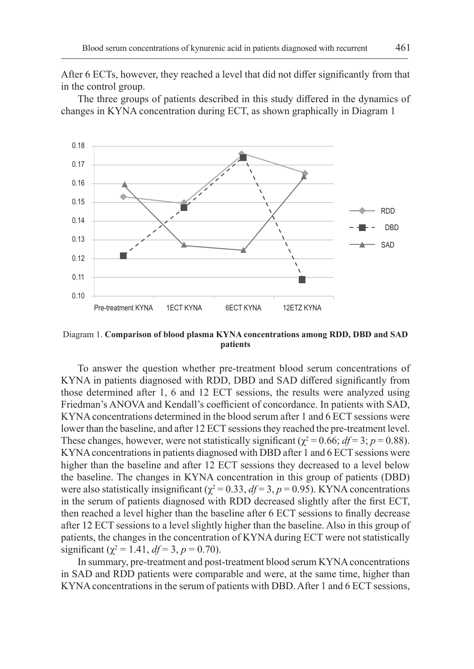After 6 ECTs, however, they reached a level that did not differ significantly from that in the control group.

The three groups of patients described in this study differed in the dynamics of changes in KYNA concentration during ECT, as shown graphically in Diagram 1



Diagram 1. **Comparison of blood plasma KYNA concentrations among RDD, DBD and SAD patients**

To answer the question whether pre-treatment blood serum concentrations of KYNA in patients diagnosed with RDD, DBD and SAD differed significantly from those determined after 1, 6 and 12 ECT sessions, the results were analyzed using Friedman's ANOVA and Kendall's coefficient of concordance. In patients with SAD, KYNA concentrations determined in the blood serum after 1 and 6 ECT sessions were lower than the baseline, and after 12 ECT sessions they reached the pre-treatment level. These changes, however, were not statistically significant ( $\chi^2$  = 0.66; *df* = 3; *p* = 0.88). KYNA concentrations in patients diagnosed with DBD after 1 and 6 ECT sessions were higher than the baseline and after 12 ECT sessions they decreased to a level below the baseline. The changes in KYNA concentration in this group of patients (DBD) were also statistically insignificant ( $\chi^2 = 0.33$ ,  $df = 3$ ,  $p = 0.95$ ). KYNA concentrations in the serum of patients diagnosed with RDD decreased slightly after the first ECT, then reached a level higher than the baseline after 6 ECT sessions to finally decrease after 12 ECT sessions to a level slightly higher than the baseline. Also in this group of patients, the changes in the concentration of KYNA during ECT were not statistically significant ( $\chi^2 = 1.41$ ,  $df = 3$ ,  $p = 0.70$ ).

In summary, pre-treatment and post-treatment blood serum KYNA concentrations in SAD and RDD patients were comparable and were, at the same time, higher than KYNA concentrations in the serum of patients with DBD. After 1 and 6 ECT sessions,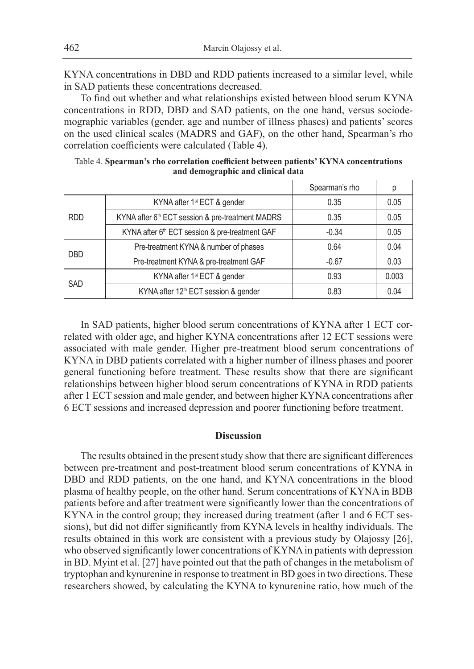KYNA concentrations in DBD and RDD patients increased to a similar level, while in SAD patients these concentrations decreased.

To find out whether and what relationships existed between blood serum KYNA concentrations in RDD, DBD and SAD patients, on the one hand, versus sociodemographic variables (gender, age and number of illness phases) and patients' scores on the used clinical scales (MADRS and GAF), on the other hand, Spearman's rho correlation coefficients were calculated (Table 4).

|            |                                                            | Spearman's rho | р     |
|------------|------------------------------------------------------------|----------------|-------|
| <b>RDD</b> | KYNA after 1 <sup>st</sup> ECT & gender                    | 0.35           | 0.05  |
|            | KYNA after 6th ECT session & pre-treatment MADRS           | 0.35           | 0.05  |
|            | KYNA after 6 <sup>th</sup> ECT session & pre-treatment GAF | $-0.34$        | 0.05  |
| <b>DBD</b> | Pre-treatment KYNA & number of phases                      | 0.64           | 0.04  |
|            | Pre-treatment KYNA & pre-treatment GAF<br>$-0.67$          |                | 0.03  |
| <b>SAD</b> | KYNA after 1 <sup>st</sup> ECT & gender                    | 0.93           | 0.003 |
|            | KYNA after 12 <sup>th</sup> ECT session & gender           | 0.83           | 0.04  |

Table 4. **Spearman's rho correlation coefficient between patients' KYNA concentrations and demographic and clinical data**

In SAD patients, higher blood serum concentrations of KYNA after 1 ECT correlated with older age, and higher KYNA concentrations after 12 ECT sessions were associated with male gender. Higher pre-treatment blood serum concentrations of KYNA in DBD patients correlated with a higher number of illness phases and poorer general functioning before treatment. These results show that there are significant relationships between higher blood serum concentrations of KYNA in RDD patients after 1 ECT session and male gender, and between higher KYNA concentrations after 6 ECT sessions and increased depression and poorer functioning before treatment.

#### **Discussion**

The results obtained in the present study show that there are significant differences between pre-treatment and post-treatment blood serum concentrations of KYNA in DBD and RDD patients, on the one hand, and KYNA concentrations in the blood plasma of healthy people, on the other hand. Serum concentrations of KYNA in BDB patients before and after treatment were significantly lower than the concentrations of KYNA in the control group; they increased during treatment (after 1 and 6 ECT sessions), but did not differ significantly from KYNA levels in healthy individuals. The results obtained in this work are consistent with a previous study by Olajossy [26], who observed significantly lower concentrations of KYNA in patients with depression in BD. Myint et al. [27] have pointed out that the path of changes in the metabolism of tryptophan and kynurenine in response to treatment in BD goes in two directions. These researchers showed, by calculating the KYNA to kynurenine ratio, how much of the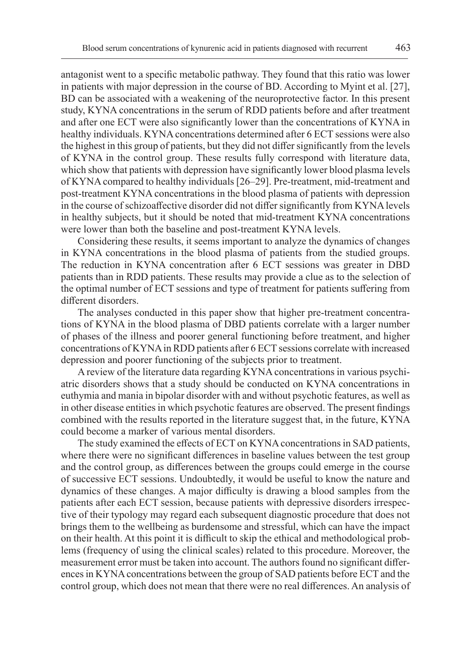antagonist went to a specific metabolic pathway. They found that this ratio was lower in patients with major depression in the course of BD. According to Myint et al. [27], BD can be associated with a weakening of the neuroprotective factor. In this present study, KYNA concentrations in the serum of RDD patients before and after treatment and after one ECT were also significantly lower than the concentrations of KYNA in healthy individuals. KYNA concentrations determined after 6 ECT sessions were also the highest in this group of patients, but they did not differ significantly from the levels of KYNA in the control group. These results fully correspond with literature data, which show that patients with depression have significantly lower blood plasma levels of KYNA compared to healthy individuals [26–29]. Pre-treatment, mid-treatment and post-treatment KYNA concentrations in the blood plasma of patients with depression in the course of schizoaffective disorder did not differ significantly from KYNA levels in healthy subjects, but it should be noted that mid-treatment KYNA concentrations were lower than both the baseline and post-treatment KYNA levels.

Considering these results, it seems important to analyze the dynamics of changes in KYNA concentrations in the blood plasma of patients from the studied groups. The reduction in KYNA concentration after 6 ECT sessions was greater in DBD patients than in RDD patients. These results may provide a clue as to the selection of the optimal number of ECT sessions and type of treatment for patients suffering from different disorders.

The analyses conducted in this paper show that higher pre-treatment concentrations of KYNA in the blood plasma of DBD patients correlate with a larger number of phases of the illness and poorer general functioning before treatment, and higher concentrations of KYNA in RDD patients after 6 ECT sessions correlate with increased depression and poorer functioning of the subjects prior to treatment.

A review of the literature data regarding KYNA concentrations in various psychiatric disorders shows that a study should be conducted on KYNA concentrations in euthymia and mania in bipolar disorder with and without psychotic features, as well as in other disease entities in which psychotic features are observed. The present findings combined with the results reported in the literature suggest that, in the future, KYNA could become a marker of various mental disorders.

The study examined the effects of ECT on KYNA concentrations in SAD patients, where there were no significant differences in baseline values between the test group and the control group, as differences between the groups could emerge in the course of successive ECT sessions. Undoubtedly, it would be useful to know the nature and dynamics of these changes. A major difficulty is drawing a blood samples from the patients after each ECT session, because patients with depressive disorders irrespective of their typology may regard each subsequent diagnostic procedure that does not brings them to the wellbeing as burdensome and stressful, which can have the impact on their health. At this point it is difficult to skip the ethical and methodological problems (frequency of using the clinical scales) related to this procedure. Moreover, the measurement error must be taken into account. The authors found no significant differences in KYNA concentrations between the group of SAD patients before ECT and the control group, which does not mean that there were no real differences. An analysis of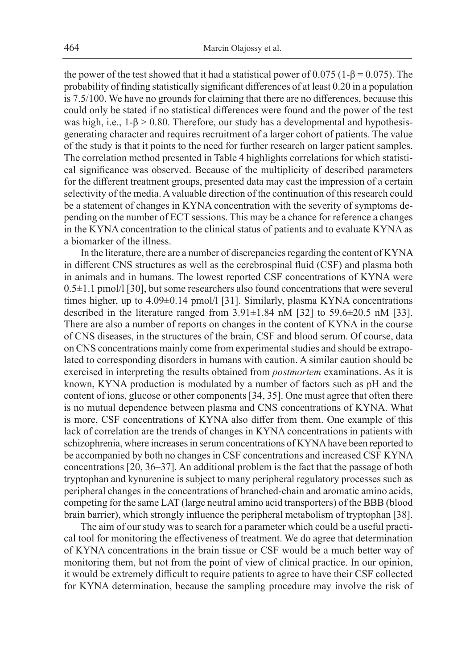the power of the test showed that it had a statistical power of 0.075 ( $1-\beta = 0.075$ ). The probability of finding statistically significant differences of at least 0.20 in a population is 7.5/100. We have no grounds for claiming that there are no differences, because this could only be stated if no statistical differences were found and the power of the test was high, i.e.,  $1-\beta > 0.80$ . Therefore, our study has a developmental and hypothesisgenerating character and requires recruitment of a larger cohort of patients. The value of the study is that it points to the need for further research on larger patient samples. The correlation method presented in Table 4 highlights correlations for which statistical significance was observed. Because of the multiplicity of described parameters for the different treatment groups, presented data may cast the impression of a certain selectivity of the media. Avaluable direction of the continuation of this research could be a statement of changes in KYNA concentration with the severity of symptoms depending on the number of ECT sessions. This may be a chance for reference a changes in the KYNA concentration to the clinical status of patients and to evaluate KYNA as a biomarker of the illness.

In the literature, there are a number of discrepancies regarding the content of KYNA in different CNS structures as well as the cerebrospinal fluid (CSF) and plasma both in animals and in humans. The lowest reported CSF concentrations of KYNA were  $0.5\pm1.1$  pmol/l [30], but some researchers also found concentrations that were several times higher, up to 4.09±0.14 pmol/l [31]. Similarly, plasma KYNA concentrations described in the literature ranged from 3.91±1.84 nM [32] to 59.6±20.5 nM [33]. There are also a number of reports on changes in the content of KYNA in the course of CNS diseases, in the structures of the brain, CSF and blood serum. Of course, data on CNS concentrations mainly come from experimental studies and should be extrapolated to corresponding disorders in humans with caution. A similar caution should be exercised in interpreting the results obtained from *postmortem* examinations. As it is known, KYNA production is modulated by a number of factors such as pH and the content of ions, glucose or other components [34, 35]. One must agree that often there is no mutual dependence between plasma and CNS concentrations of KYNA. What is more, CSF concentrations of KYNA also differ from them. One example of this lack of correlation are the trends of changes in KYNA concentrations in patients with schizophrenia, where increases in serum concentrations of KYNA have been reported to be accompanied by both no changes in CSF concentrations and increased CSF KYNA concentrations [20, 36–37]. An additional problem is the fact that the passage of both tryptophan and kynurenine is subject to many peripheral regulatory processes such as peripheral changes in the concentrations of branched-chain and aromatic amino acids, competing for the same LAT (large neutral amino acid transporters) of the BBB (blood brain barrier), which strongly influence the peripheral metabolism of tryptophan [38].

The aim of our study was to search for a parameter which could be a useful practical tool for monitoring the effectiveness of treatment. We do agree that determination of KYNA concentrations in the brain tissue or CSF would be a much better way of monitoring them, but not from the point of view of clinical practice. In our opinion, it would be extremely difficult to require patients to agree to have their CSF collected for KYNA determination, because the sampling procedure may involve the risk of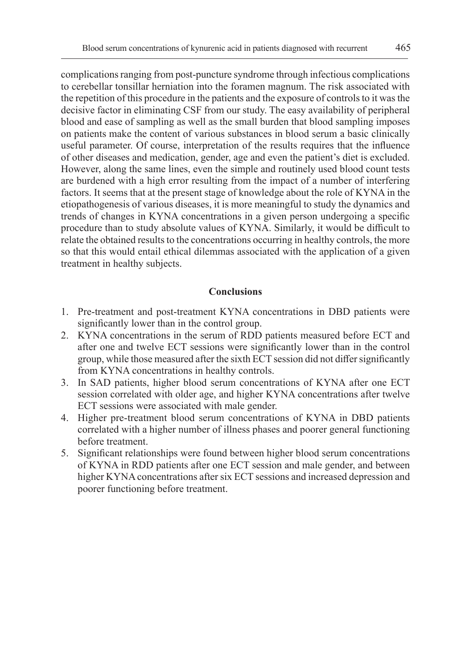complications ranging from post-puncture syndrome through infectious complications to cerebellar tonsillar herniation into the foramen magnum. The risk associated with the repetition of this procedure in the patients and the exposure of controls to it was the decisive factor in eliminating CSF from our study. The easy availability of peripheral blood and ease of sampling as well as the small burden that blood sampling imposes on patients make the content of various substances in blood serum a basic clinically useful parameter. Of course, interpretation of the results requires that the influence of other diseases and medication, gender, age and even the patient's diet is excluded. However, along the same lines, even the simple and routinely used blood count tests are burdened with a high error resulting from the impact of a number of interfering factors. It seems that at the present stage of knowledge about the role of KYNA in the etiopathogenesis of various diseases, it is more meaningful to study the dynamics and trends of changes in KYNA concentrations in a given person undergoing a specific procedure than to study absolute values of KYNA. Similarly, it would be difficult to relate the obtained results to the concentrations occurring in healthy controls, the more so that this would entail ethical dilemmas associated with the application of a given treatment in healthy subjects.

# **Conclusions**

- 1. Pre-treatment and post-treatment KYNA concentrations in DBD patients were significantly lower than in the control group.
- 2. KYNA concentrations in the serum of RDD patients measured before ECT and after one and twelve ECT sessions were significantly lower than in the control group, while those measured after the sixth ECT session did not differ significantly from KYNA concentrations in healthy controls.
- 3. In SAD patients, higher blood serum concentrations of KYNA after one ECT session correlated with older age, and higher KYNA concentrations after twelve ECT sessions were associated with male gender.
- 4. Higher pre-treatment blood serum concentrations of KYNA in DBD patients correlated with a higher number of illness phases and poorer general functioning before treatment.
- 5. Significant relationships were found between higher blood serum concentrations of KYNA in RDD patients after one ECT session and male gender, and between higher KYNA concentrations after six ECT sessions and increased depression and poorer functioning before treatment.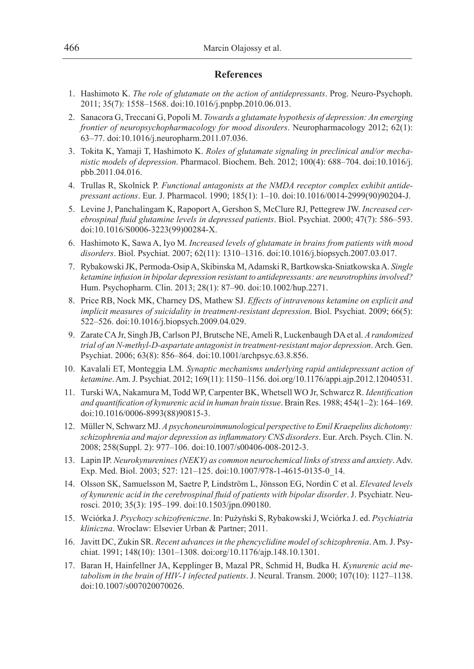## **References**

- 1. Hashimoto K. *The role of glutamate on the action of antidepressants*. Prog. Neuro-Psychoph. 2011; 35(7): 1558–1568. doi:10.1016/j.pnpbp.2010.06.013.
- 2. Sanacora G, Treccani G, Popoli M. *Towards a glutamate hypothesis of depression: An emerging frontier of neuropsychopharmacology for mood disorders*. Neuropharmacology 2012; 62(1): 63–77. doi:10.1016/j.neuropharm.2011.07.036.
- 3. Tokita K, Yamaji T, Hashimoto K. *Roles of glutamate signaling in preclinical and/or mechanistic models of depression*. Pharmacol. Biochem. Beh. 2012; 100(4): 688–704. doi:10.1016/j. pbb.2011.04.016.
- 4. Trullas R, Skolnick P. *Functional antagonists at the NMDA receptor complex exhibit antidepressant actions*. Eur. J. Pharmacol. 1990; 185(1): 1–10. doi:10.1016/0014-2999(90)90204-J.
- 5. Levine J, Panchalingam K, Rapoport A, Gershon S, McClure RJ, Pettegrew JW. *Increased cerebrospinal fluid glutamine levels in depressed patients*. Biol. Psychiat. 2000; 47(7): 586–593. doi:10.1016/S0006-3223(99)00284-X.
- 6. Hashimoto K, Sawa A, Iyo M. *Increased levels of glutamate in brains from patients with mood disorders*. Biol. Psychiat. 2007; 62(11): 1310–1316. doi:10.1016/j.biopsych.2007.03.017.
- 7. Rybakowski JK, Permoda-Osip A, Skibinska M, Adamski R, Bartkowska-Sniatkowska A. *Single ketamine infusion in bipolar depression resistant to antidepressants: are neurotrophins involved?*  Hum. Psychopharm. Clin. 2013; 28(1): 87–90. doi:10.1002/hup.2271.
- 8. Price RB, Nock MK, Charney DS, Mathew SJ. *Effects of intravenous ketamine on explicit and implicit measures of suicidality in treatment-resistant depression*. Biol. Psychiat. 2009; 66(5): 522–526. doi:10.1016/j.biopsych.2009.04.029.
- 9. Zarate CA Jr, Singh JB, Carlson PJ, Brutsche NE, Ameli R, Luckenbaugh DA et al. *Arandomized trial of an N-methyl-D-aspartate antagonist in treatment-resistant major depression*. Arch. Gen. Psychiat. 2006; 63(8): 856–864. doi:10.1001/archpsyc.63.8.856.
- 10. Kavalali ET, Monteggia LM. *Synaptic mechanisms underlying rapid antidepressant action of ketamine*. Am. J. Psychiat. 2012; 169(11): 1150–1156. doi.org/10.1176/appi.ajp.2012.12040531.
- 11. Turski WA, Nakamura M, Todd WP, Carpenter BK, Whetsell WO Jr, Schwarcz R. *Identification and quantification of kynurenic acid in human brain tissue*. Brain Res. 1988; 454(1–2): 164–169. doi:10.1016/0006-8993(88)90815-3.
- 12. Müller N, Schwarz MJ. *A psychoneuroimmunological perspective to Emil Kraepelins dichotomy: schizophrenia and major depression as inflammatory CNS disorders*. Eur. Arch. Psych. Clin. N. 2008; 258(Suppl. 2): 977–106. doi:10.1007/s00406-008-2012-3.
- 13. Lapin IP. *Neurokynurenines (NEKY) as common neurochemical links of stress and anxiety*. Adv. Exp. Med. Biol. 2003; 527: 121–125. doi:10.1007/978-1-4615-0135-0\_14.
- 14. Olsson SK, Samuelsson M, Saetre P, Lindström L, Jönsson EG, Nordin C et al. *Elevated levels of kynurenic acid in the cerebrospinal fluid of patients with bipolar disorder*. J. Psychiatr. Neurosci. 2010; 35(3): 195–199. doi:10.1503/jpn.090180.
- 15. Wciórka J. *Psychozy schizofreniczne*. In: Pużyński S, Rybakowski J, Wciórka J. ed. *Psychiatria kliniczna*. Wroclaw: Elsevier Urban & Partner; 2011.
- 16. Javitt DC, Zukin SR. *Recent advances in the phencyclidine model of schizophrenia*. Am. J. Psychiat. 1991; 148(10): 1301–1308. doi:org/10.1176/ajp.148.10.1301.
- 17. Baran H, Hainfellner JA, Kepplinger B, Mazal PR, Schmid H, Budka H. *Kynurenic acid metabolism in the brain of HIV-1 infected patients*. J. Neural. Transm. 2000; 107(10): 1127–1138. doi:10.1007/s007020070026.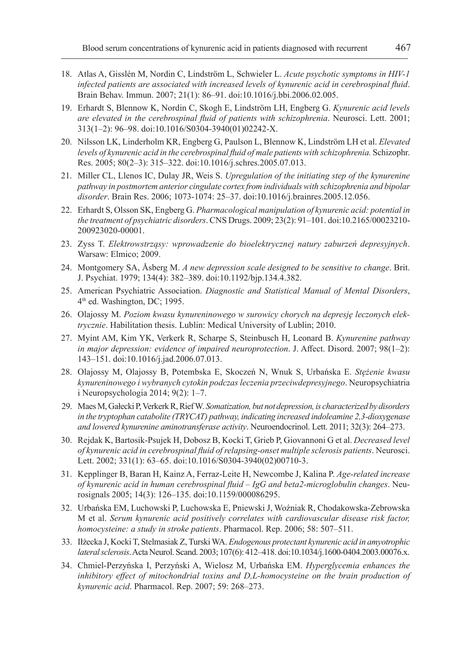- 18. Atlas A, Gisslén M, Nordin C, Lindström L, Schwieler L. *Acute psychotic symptoms in HIV-1 infected patients are associated with increased levels of kynurenic acid in cerebrospinal fluid*. Brain Behav. Immun. 2007; 21(1): 86–91. doi:10.1016/j.bbi.2006.02.005.
- 19. Erhardt S, Blennow K, Nordin C, Skogh E, Lindström LH, Engberg G. *Kynurenic acid levels are elevated in the cerebrospinal fluid of patients with schizophrenia*. Neurosci. Lett. 2001; 313(1–2): 96–98. doi:10.1016/S0304-3940(01)02242-X.
- 20. Nilsson LK, Linderholm KR, Engberg G, Paulson L, Blennow K, Lindström LH et al. *Elevated levels of kynurenic acid in the cerebrospinal fluid of male patients with schizophrenia.* Schizophr. Res. 2005; 80(2–3): 315–322. doi:10.1016/j.schres.2005.07.013.
- 21. Miller CL, Llenos IC, Dulay JR, Weis S. *Upregulation of the initiating step of the kynurenine pathway in postmortem anterior cingulate cortex from individuals with schizophrenia and bipolar disorder*. Brain Res. 2006; 1073-1074: 25–37. doi:10.1016/j.brainres.2005.12.056.
- 22. Erhardt S, Olsson SK, Engberg G. *Pharmacological manipulation of kynurenic acid: potential in the treatment of psychiatric disorders*. CNS Drugs. 2009; 23(2): 91–101. doi:10.2165/00023210- 200923020-00001.
- 23. Zyss T. *Elektrowstrząsy: wprowadzenie do bioelektrycznej natury zaburzeń depresyjnych*. Warsaw: Elmico; 2009.
- 24. Montgomery SA, Åsberg M. *A new depression scale designed to be sensitive to change*. Brit. J. Psychiat. 1979; 134(4): 382–389. doi:10.1192/bjp.134.4.382.
- 25. American Psychiatric Association. *Diagnostic and Statistical Manual of Mental Disorders*, 4th ed. Washington, DC; 1995.
- 26. Olajossy M. *Poziom kwasu kynureninowego w surowicy chorych na depresję leczonych elektrycznie*. Habilitation thesis. Lublin: Medical University of Lublin; 2010.
- 27. Myint AM, Kim YK, Verkerk R, Scharpe S, Steinbusch H, Leonard B. *Kynurenine pathway in major depression: evidence of impaired neuroprotection*. J. Affect. Disord. 2007; 98(1–2): 143–151. doi:10.1016/j.jad.2006.07.013.
- 28. Olajossy M, Olajossy B, Potembska E, Skoczeń N, Wnuk S, Urbańska E. *Stężenie kwasu kynureninowego i wybranych cytokin podczas leczenia przeciwdepresyjnego*. Neuropsychiatria i Neuropsychologia 2014; 9(2): 1–7.
- 29. Maes M, Gałecki P, Verkerk R, Rief W. *Somatization, but not depression, is characterized by disorders in the tryptophan catabolite (TRYCAT) pathway, indicating increased indoleamine 2,3-dioxygenase and lowered kynurenine aminotransferase activity*. Neuroendocrinol. Lett. 2011; 32(3): 264–273.
- 30. Rejdak K, Bartosik-Psujek H, Dobosz B, Kocki T, Grieb P, Giovannoni G et al. *Decreased level of kynurenic acid in cerebrospinal fluid of relapsing-onset multiple sclerosis patients*. Neurosci. Lett. 2002; 331(1): 63–65. doi:10.1016/S0304-3940(02)00710-3.
- 31. Kepplinger B, Baran H, Kainz A, Ferraz-Leite H, Newcombe J, Kalina P. *Age-related increase of kynurenic acid in human cerebrospinal fluid – IgG and beta2-microglobulin changes*. Neurosignals 2005; 14(3): 126–135. doi:10.1159/000086295.
- 32. Urbańska EM, Luchowski P, Luchowska E, Pniewski J, Woźniak R, Chodakowska-Zebrowska M et al. *Serum kynurenic acid positively correlates with cardiovascular disease risk factor, homocysteine: a study in stroke patients*. Pharmacol. Rep. 2006; 58: 507–511.
- 33. Iłżecka J, Kocki T, Stelmasiak Z, Turski WA. *Endogenous protectant kynurenic acid in amyotrophic lateral sclerosis*. Acta Neurol. Scand. 2003; 107(6): 412–418. doi:10.1034/j.1600-0404.2003.00076.x.
- 34. Chmiel-Perzyńska I, Perzyński A, Wielosz M, Urbańska EM. *Hyperglycemia enhances the inhibitory effect of mitochondrial toxins and D,L-homocysteine on the brain production of kynurenic acid*. Pharmacol. Rep. 2007; 59: 268–273.